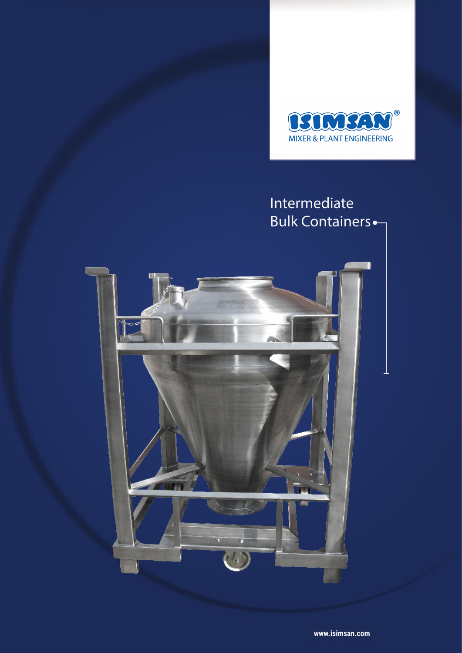

# Intermediate Bulk Containers

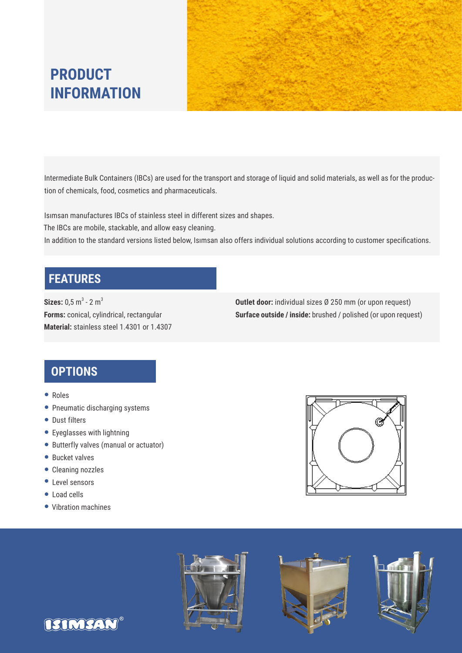



Intermediate Bulk Containers (IBCs) are used for the transport and storage of liquid and solid materials, as well as for the production of chemicals, food, cosmetics and pharmaceuticals.

Isımsan manufactures IBCs of stainless steel in different sizes and shapes.

The IBCs are mobile, stackable, and allow easy cleaning.

In addition to the standard versions listed below, Isımsan also offers individual solutions according to customer specifications.

## **FEATURES**

 $\textsf{Sizes: } 0,5 \text{ m}^3 \text{ - } 2 \text{ m}^3$ **Forms:** conical, cylindrical, rectangular **Material:** stainless steel 1.4301 or 1.4307 **Outlet door:** individual sizes Ø 250 mm (or upon request) **Surface outside / inside:** brushed / polished (or upon request)

## **OPTIONS**

- Roles
- Pneumatic discharging systems
- Dust filters
- Eyeglasses with lightning
- Butterfly valves (manual or actuator)
- **•** Bucket valves
- Cleaning nozzles
- Level sensors
- Load cells
- Vibration machines

**ASTMSAN** 







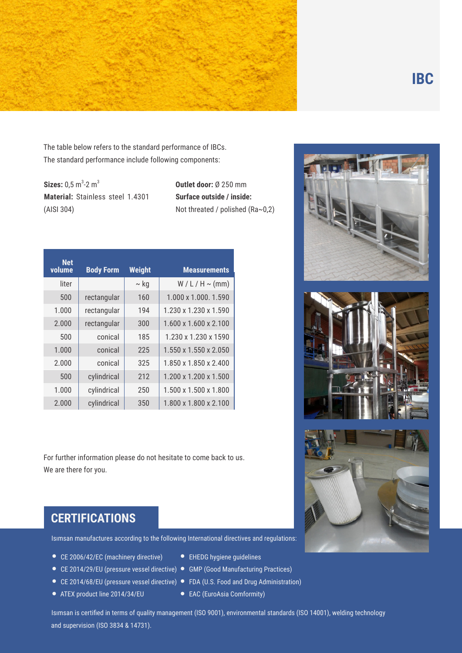

The table below refers to the standard performance of IBCs. The standard performance include following components:

**Sizes:**  $0,5 \text{ m}^3$ -2 m<sup>3</sup> **Material:** Stainless steel 1.4301 (AISI 304)

**Outlet door:** Ø 250 mm **Surface outside / inside:**  Not threated / polished (Ra~0,2)

| <b>Net</b><br>volume | <b>Body Form</b> | <b>Weight</b> | <b>Measurements</b>   |
|----------------------|------------------|---------------|-----------------------|
| liter                |                  | $\sim$ kg     | $W/L/H \sim (mm)$     |
| 500                  | rectangular      | 160           | 1.000 x 1.000. 1.590  |
| 1.000                | rectangular      | 194           | 1.230 x 1.230 x 1.590 |
| 2.000                | rectangular      | 300           | 1.600 x 1.600 x 2.100 |
| 500                  | conical          | 185           | 1.230 x 1.230 x 1590  |
| 1.000                | conical          | 225           | 1.550 x 1.550 x 2.050 |
| 2.000                | conical          | 325           | 1.850 x 1.850 x 2.400 |
| 500                  | cylindrical      | 212           | 1.200 x 1.200 x 1.500 |
| 1.000                | cylindrical      | 250           | 1.500 x 1.500 x 1.800 |
| 2.000                | cylindrical      | 350           | 1.800 x 1.800 x 2.100 |

For further information please do not hesitate to come back to us. We are there for you.





#### **CERTIFICATIONS**

Isımsan manufactures according to the following International directives and regulations:

- CE 2006/42/EC (machinery directive)
- 
- 
- ATEX product line 2014/34/EU
- EHEDG hygiene guidelines
- CE 2014/29/EU (pressure vessel directive) GMP (Good Manufacturing Practices)
- CE 2014/68/EU (pressure vessel directive) FDA (U.S. Food and Drug Administration)
	- EAC (EuroAsia Comformity)

Isımsan is certified in terms of quality management (ISO 9001), environmental standards (ISO 14001), welding technology and supervision (ISO 3834 & 14731).